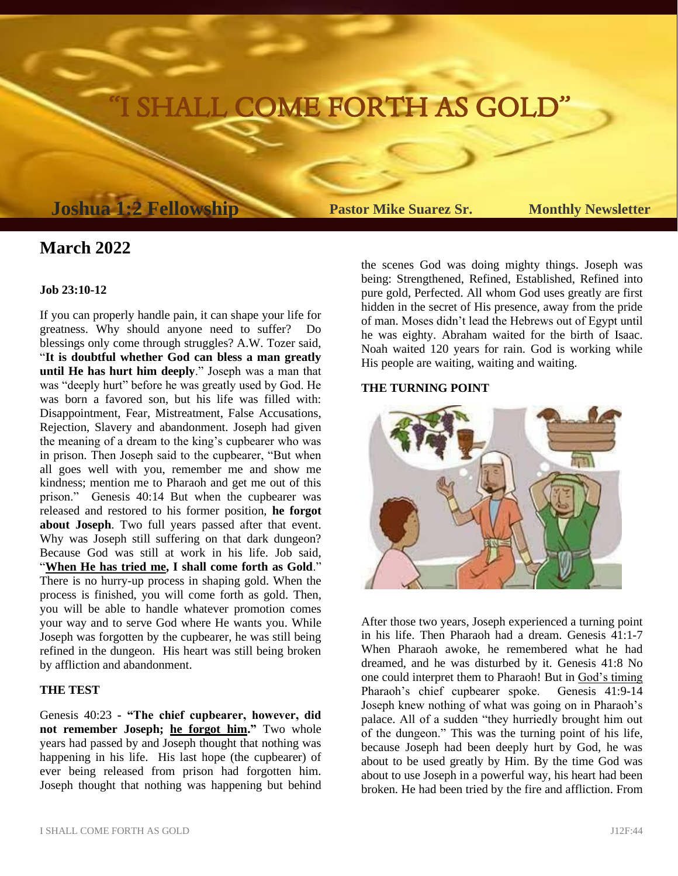# SHALL COME FORTH AS GOLD

## **Joshua 1:2 Fellowship Pastor Mike Suarez Sr. Monthly Newsletter**

### **March 2022**

#### **Job 23:10-12**

If you can properly handle pain, it can shape your life for greatness. Why should anyone need to suffer? Do blessings only come through struggles? A.W. Tozer said, "**It is doubtful whether God can bless a man greatly until He has hurt him deeply**." Joseph was a man that was "deeply hurt" before he was greatly used by God. He was born a favored son, but his life was filled with: Disappointment, Fear, Mistreatment, False Accusations, Rejection, Slavery and abandonment. Joseph had given the meaning of a dream to the king's cupbearer who was in prison. Then Joseph said to the cupbearer, "But when all goes well with you, remember me and show me kindness; mention me to Pharaoh and get me out of this prison." Genesis 40:14 But when the cupbearer was released and restored to his former position, **he forgot about Joseph**. Two full years passed after that event. Why was Joseph still suffering on that dark dungeon? Because God was still at work in his life. Job said, "**When He has tried me, I shall come forth as Gold**." There is no hurry-up process in shaping gold. When the process is finished, you will come forth as gold. Then, you will be able to handle whatever promotion comes your way and to serve God where He wants you. While Joseph was forgotten by the cupbearer, he was still being refined in the dungeon. His heart was still being broken by affliction and abandonment.

#### **THE TEST**

Genesis 40:23 **- "The chief cupbearer, however, did**  not remember Joseph; he forgot him." Two whole years had passed by and Joseph thought that nothing was happening in his life. His last hope (the cupbearer) of ever being released from prison had forgotten him. Joseph thought that nothing was happening but behind

the scenes God was doing mighty things. Joseph was being: Strengthened, Refined, Established, Refined into pure gold, Perfected. All whom God uses greatly are first hidden in the secret of His presence, away from the pride of man. Moses didn't lead the Hebrews out of Egypt until he was eighty. Abraham waited for the birth of Isaac. Noah waited 120 years for rain. God is working while His people are waiting, waiting and waiting.

#### **THE TURNING POINT**



After those two years, Joseph experienced a turning point in his life. Then Pharaoh had a dream. Genesis 41:1-7 When Pharaoh awoke, he remembered what he had dreamed, and he was disturbed by it. Genesis 41:8 No one could interpret them to Pharaoh! But in God's timing Pharaoh's chief cupbearer spoke. Genesis 41:9-14 Joseph knew nothing of what was going on in Pharaoh's palace. All of a sudden "they hurriedly brought him out of the dungeon." This was the turning point of his life, because Joseph had been deeply hurt by God, he was about to be used greatly by Him. By the time God was about to use Joseph in a powerful way, his heart had been broken. He had been tried by the fire and affliction. From